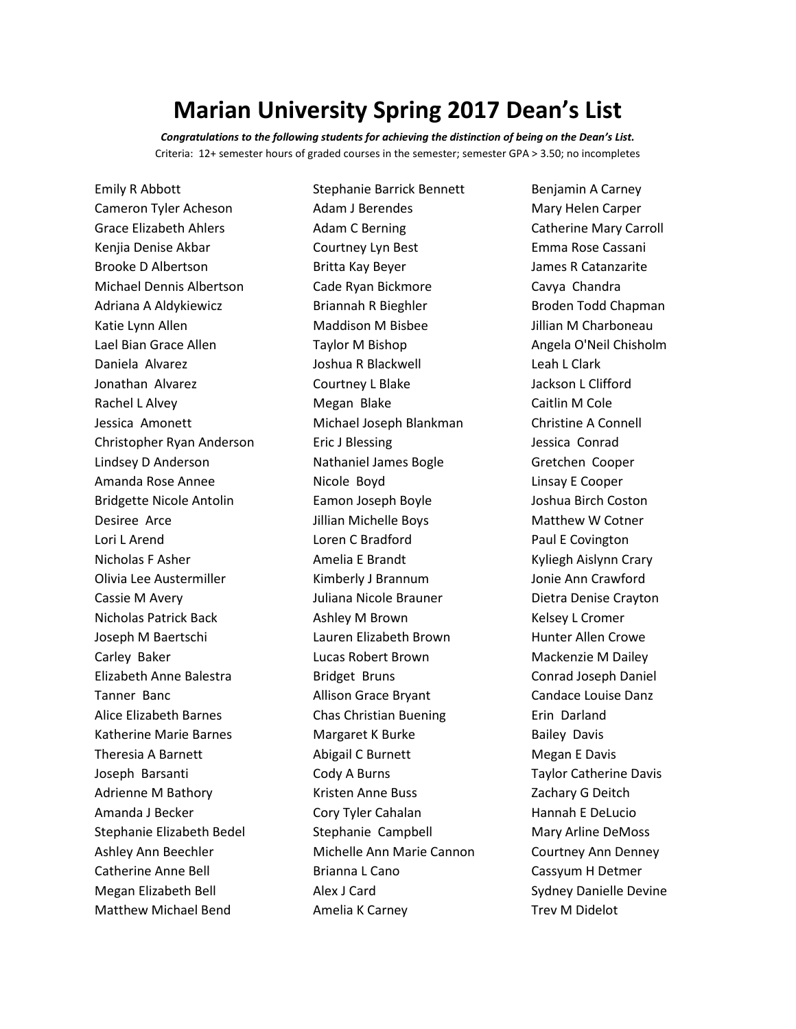## **Marian University Spring 2017 Dean's List**

*Congratulations to the following students for achieving the distinction of being on the Dean's List.* Criteria: 12+ semester hours of graded courses in the semester; semester GPA > 3.50; no incompletes

Emily R Abbott Cameron Tyler Acheson Grace Elizabeth Ahlers Kenjia Denise Akbar Brooke D Albertson Michael Dennis Albertson Adriana A Aldykiewicz Katie Lynn Allen Lael Bian Grace Allen Daniela Alvarez Jonathan Alvarez Rachel L Alvey Jessica Amonett Christopher Ryan Anderson Lindsey D Anderson Amanda Rose Annee Bridgette Nicole Antolin Desiree Arce Lori L Arend Nicholas F Asher Olivia Lee Austermiller Cassie M Avery Nicholas Patrick Back Joseph M Baertschi Carley Baker Elizabeth Anne Balestra Tanner Banc Alice Elizabeth Barnes Katherine Marie Barnes Theresia A Barnett Joseph Barsanti Adrienne M Bathory Amanda J Becker Stephanie Elizabeth Bedel Ashley Ann Beechler Catherine Anne Bell Megan Elizabeth Bell Matthew Michael Bend

Stephanie Barrick Bennett Adam J Berendes Adam C Berning Courtney Lyn Best Britta Kay Beyer Cade Ryan Bickmore Briannah R Bieghler Maddison M Bisbee Taylor M Bishop Joshua R Blackwell Courtney L Blake Megan Blake Michael Joseph Blankman Eric J Blessing Nathaniel James Bogle Nicole Boyd Eamon Joseph Boyle Jillian Michelle Boys Loren C Bradford Amelia E Brandt Kimberly J Brannum Juliana Nicole Brauner Ashley M Brown Lauren Elizabeth Brown Lucas Robert Brown Bridget Bruns Allison Grace Bryant Chas Christian Buening Margaret K Burke Abigail C Burnett Cody A Burns Kristen Anne Buss Cory Tyler Cahalan Stephanie Campbell Michelle Ann Marie Cannon Brianna L Cano Alex J Card Amelia K Carney

Benjamin A Carney Mary Helen Carper Catherine Mary Carroll Emma Rose Cassani James R Catanzarite Cavya Chandra Broden Todd Chapman Jillian M Charboneau Angela O'Neil Chisholm Leah L Clark Jackson L Clifford Caitlin M Cole Christine A Connell Jessica Conrad Gretchen Cooper Linsay E Cooper Joshua Birch Coston Matthew W Cotner Paul E Covington Kyliegh Aislynn Crary Jonie Ann Crawford Dietra Denise Crayton Kelsey L Cromer Hunter Allen Crowe Mackenzie M Dailey Conrad Joseph Daniel Candace Louise Danz Erin Darland Bailey Davis Megan E Davis Taylor Catherine Davis Zachary G Deitch Hannah E DeLucio Mary Arline DeMoss Courtney Ann Denney Cassyum H Detmer Sydney Danielle Devine Trev M Didelot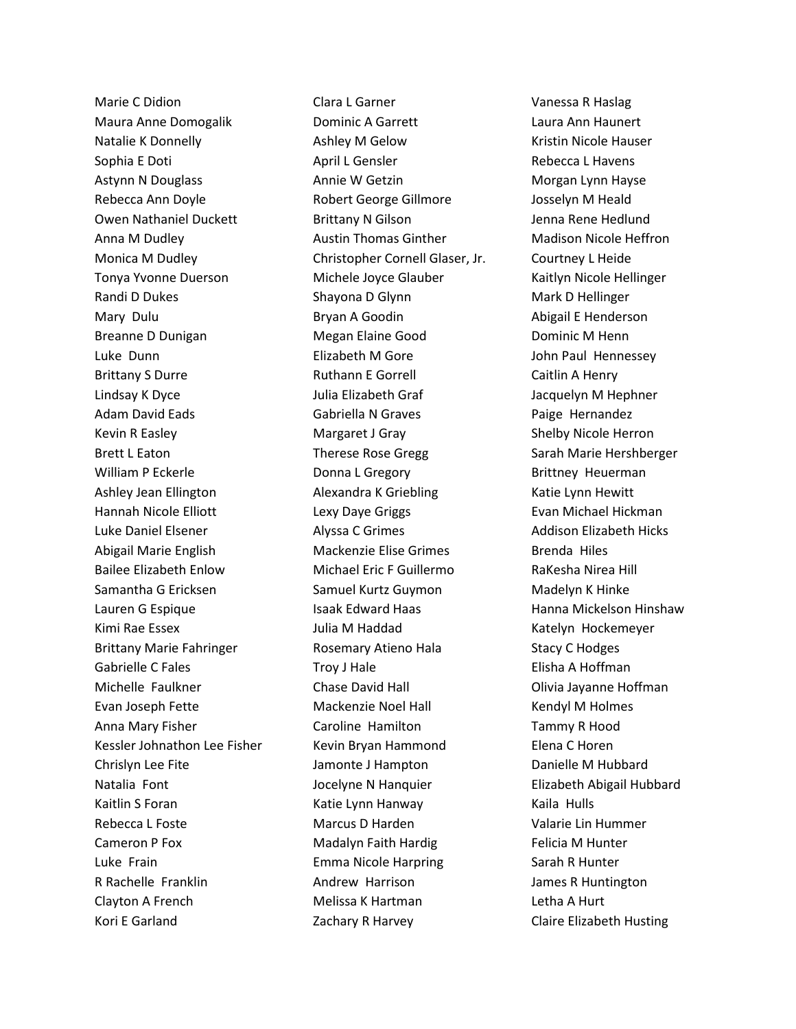Marie C Didion Maura Anne Domogalik Natalie K Donnelly Sophia E Doti Astynn N Douglass Rebecca Ann Doyle Owen Nathaniel Duckett Anna M Dudley Monica M Dudley Tonya Yvonne Duerson Randi D Dukes Mary Dulu Breanne D Dunigan Luke Dunn Brittany S Durre Lindsay K Dyce Adam David Eads Kevin R Easley Brett L Eaton William P Eckerle Ashley Jean Ellington Hannah Nicole Elliott Luke Daniel Elsener Abigail Marie English Bailee Elizabeth Enlow Samantha G Ericksen Lauren G Espique Kimi Rae Essex Brittany Marie Fahringer Gabrielle C Fales Michelle Faulkner Evan Joseph Fette Anna Mary Fisher Kessler Johnathon Lee Fisher Chrislyn Lee Fite Natalia Font Kaitlin S Foran Rebecca L Foste Cameron P Fox Luke Frain R Rachelle Franklin Clayton A French Kori E Garland

Clara L Garner Dominic A Garrett Ashley M Gelow April L Gensler Annie W Getzin Robert George Gillmore Brittany N Gilson Austin Thomas Ginther Christopher Cornell Glaser, Jr. Michele Joyce Glauber Shayona D Glynn Bryan A Goodin Megan Elaine Good Elizabeth M Gore Ruthann E Gorrell Julia Elizabeth Graf Gabriella N Graves Margaret J Gray Therese Rose Gregg Donna L Gregory Alexandra K Griebling Lexy Daye Griggs Alyssa C Grimes Mackenzie Elise Grimes Michael Eric F Guillermo Samuel Kurtz Guymon Isaak Edward Haas Julia M Haddad Rosemary Atieno Hala Troy J Hale Chase David Hall Mackenzie Noel Hall Caroline Hamilton Kevin Bryan Hammond Jamonte J Hampton Jocelyne N Hanquier Katie Lynn Hanway Marcus D Harden Madalyn Faith Hardig Emma Nicole Harpring Andrew Harrison Melissa K Hartman Zachary R Harvey

Vanessa R Haslag Laura Ann Haunert Kristin Nicole Hauser Rebecca L Havens Morgan Lynn Hayse Josselyn M Heald Jenna Rene Hedlund Madison Nicole Heffron Courtney L Heide Kaitlyn Nicole Hellinger Mark D Hellinger Abigail E Henderson Dominic M Henn John Paul Hennessey Caitlin A Henry Jacquelyn M Hephner Paige Hernandez Shelby Nicole Herron Sarah Marie Hershberger Brittney Heuerman Katie Lynn Hewitt Evan Michael Hickman Addison Elizabeth Hicks Brenda Hiles RaKesha Nirea Hill Madelyn K Hinke Hanna Mickelson Hinshaw Katelyn Hockemeyer Stacy C Hodges Elisha A Hoffman Olivia Jayanne Hoffman Kendyl M Holmes Tammy R Hood Elena C Horen Danielle M Hubbard Elizabeth Abigail Hubbard Kaila Hulls Valarie Lin Hummer Felicia M Hunter Sarah R Hunter James R Huntington Letha A Hurt Claire Elizabeth Husting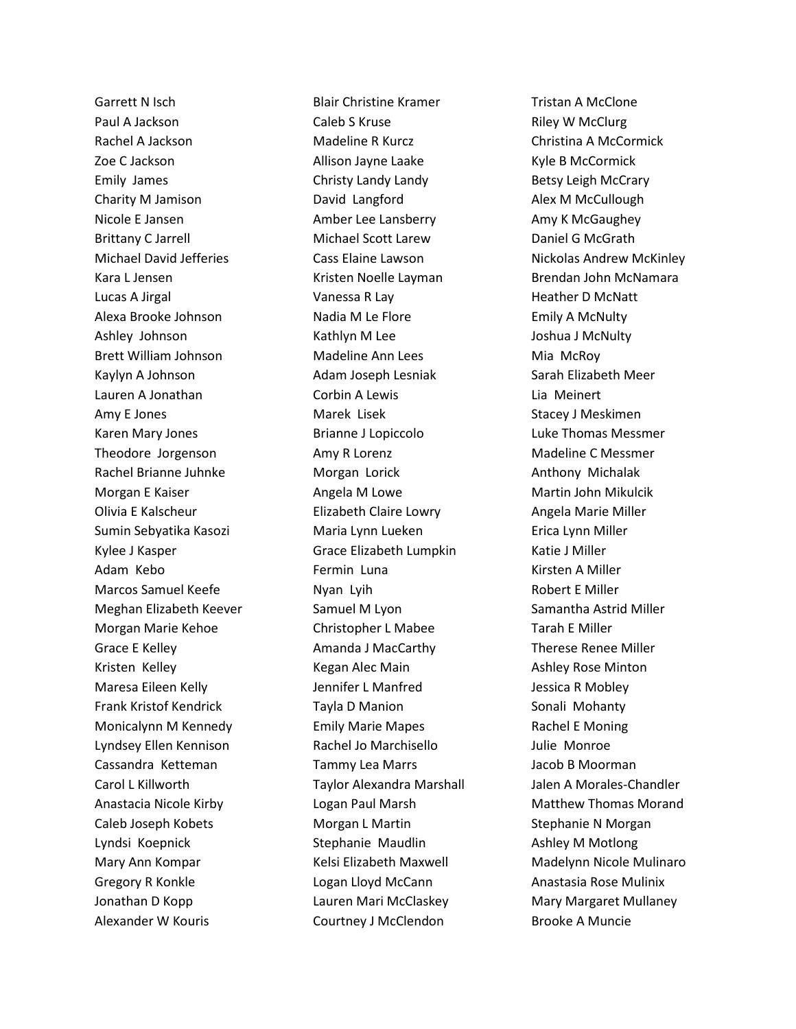Garrett N Isch Paul A Jackson Rachel A Jackson Zoe C Jackson Emily James Charity M Jamison Nicole E Jansen Brittany C Jarrell Michael David Jefferies Kara L Jensen Lucas A Jirgal Alexa Brooke Johnson Ashley Johnson Brett William Johnson Kaylyn A Johnson Lauren A Jonathan Amy E Jones Karen Mary Jones Theodore Jorgenson Rachel Brianne Juhnke Morgan E Kaiser Olivia E Kalscheur Sumin Sebyatika Kasozi Kylee J Kasper Adam Kebo Marcos Samuel Keefe Meghan Elizabeth Keever Morgan Marie Kehoe Grace E Kelley Kristen Kelley Maresa Eileen Kelly Frank Kristof Kendrick Monicalynn M Kennedy Lyndsey Ellen Kennison Cassandra Ketteman Carol L Killworth Anastacia Nicole Kirby Caleb Joseph Kobets Lyndsi Koepnick Mary Ann Kompar Gregory R Konkle Jonathan D Kopp Alexander W Kouris

Blair Christine Kramer Caleb S Kruse Madeline R Kurcz Allison Jayne Laake Christy Landy Landy David Langford Amber Lee Lansberry Michael Scott Larew Cass Elaine Lawson Kristen Noelle Layman Vanessa R Lay Nadia M Le Flore Kathlyn M Lee Madeline Ann Lees Adam Joseph Lesniak Corbin A Lewis Marek Lisek Brianne J Lopiccolo Amy R Lorenz Morgan Lorick Angela M Lowe Elizabeth Claire Lowry Maria Lynn Lueken Grace Elizabeth Lumpkin Fermin Luna Nyan Lyih Samuel M Lyon Christopher L Mabee Amanda J MacCarthy Kegan Alec Main Jennifer L Manfred Tayla D Manion Emily Marie Mapes Rachel Jo Marchisello Tammy Lea Marrs Taylor Alexandra Marshall Logan Paul Marsh Morgan L Martin Stephanie Maudlin Kelsi Elizabeth Maxwell Logan Lloyd McCann Lauren Mari McClaskey Courtney J McClendon

Tristan A McClone Riley W McClurg Christina A McCormick Kyle B McCormick Betsy Leigh McCrary Alex M McCullough Amy K McGaughey Daniel G McGrath Nickolas Andrew McKinley Brendan John McNamara Heather D McNatt Emily A McNulty Joshua J McNulty Mia McRoy Sarah Elizabeth Meer Lia Meinert Stacey J Meskimen Luke Thomas Messmer Madeline C Messmer Anthony Michalak Martin John Mikulcik Angela Marie Miller Erica Lynn Miller Katie J Miller Kirsten A Miller Robert E Miller Samantha Astrid Miller Tarah E Miller Therese Renee Miller Ashley Rose Minton Jessica R Mobley Sonali Mohanty Rachel E Moning Julie Monroe Jacob B Moorman Jalen A Morales-Chandler Matthew Thomas Morand Stephanie N Morgan Ashley M Motlong Madelynn Nicole Mulinaro Anastasia Rose Mulinix Mary Margaret Mullaney Brooke A Muncie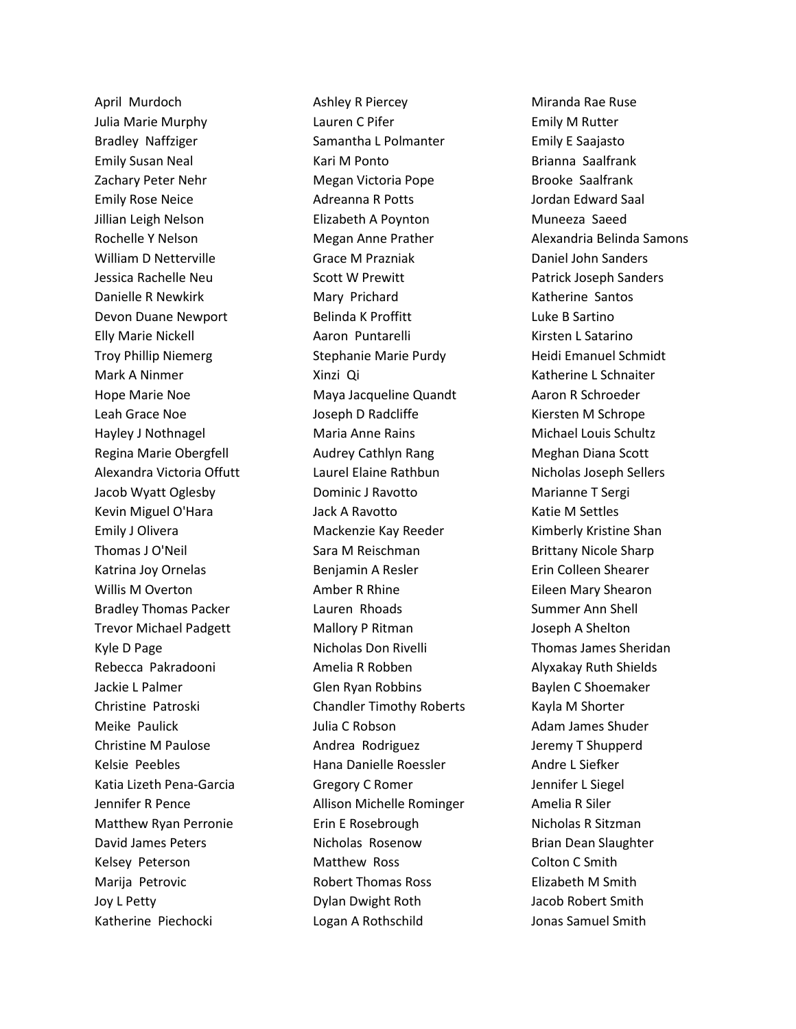April Murdoch Julia Marie Murphy Bradley Naffziger Emily Susan Neal Zachary Peter Nehr Emily Rose Neice Jillian Leigh Nelson Rochelle Y Nelson William D Netterville Jessica Rachelle Neu Danielle R Newkirk Devon Duane Newport Elly Marie Nickell Troy Phillip Niemerg Mark A Ninmer Hope Marie Noe Leah Grace Noe Hayley J Nothnagel Regina Marie Obergfell Alexandra Victoria Offutt Jacob Wyatt Oglesby Kevin Miguel O'Hara Emily J Olivera Thomas J O'Neil Katrina Joy Ornelas Willis M Overton Bradley Thomas Packer Trevor Michael Padgett Kyle D Page Rebecca Pakradooni Jackie L Palmer Christine Patroski Meike Paulick Christine M Paulose Kelsie Peebles Katia Lizeth Pena-Garcia Jennifer R Pence Matthew Ryan Perronie David James Peters Kelsey Peterson Marija Petrovic Joy L Petty Katherine Piechocki

Ashley R Piercey Lauren C Pifer Samantha L Polmanter Kari M Ponto Megan Victoria Pope Adreanna R Potts Elizabeth A Poynton Megan Anne Prather Grace M Prazniak Scott W Prewitt Mary Prichard Belinda K Proffitt Aaron Puntarelli Stephanie Marie Purdy Xinzi Qi Maya Jacqueline Quandt Joseph D Radcliffe Maria Anne Rains Audrey Cathlyn Rang Laurel Elaine Rathbun Dominic J Ravotto Jack A Ravotto Mackenzie Kay Reeder Sara M Reischman Benjamin A Resler Amber R Rhine Lauren Rhoads Mallory P Ritman Nicholas Don Rivelli Amelia R Robben Glen Ryan Robbins Chandler Timothy Roberts Julia C Robson Andrea Rodriguez Hana Danielle Roessler Gregory C Romer Allison Michelle Rominger Erin E Rosebrough Nicholas Rosenow Matthew Ross Robert Thomas Ross Dylan Dwight Roth Logan A Rothschild

Miranda Rae Ruse Emily M Rutter Emily E Saajasto Brianna Saalfrank Brooke Saalfrank Jordan Edward Saal Muneeza Saeed Alexandria Belinda Samons Daniel John Sanders Patrick Joseph Sanders Katherine Santos Luke B Sartino Kirsten L Satarino Heidi Emanuel Schmidt Katherine L Schnaiter Aaron R Schroeder Kiersten M Schrope Michael Louis Schultz Meghan Diana Scott Nicholas Joseph Sellers Marianne T Sergi Katie M Settles Kimberly Kristine Shan Brittany Nicole Sharp Erin Colleen Shearer Eileen Mary Shearon Summer Ann Shell Joseph A Shelton Thomas James Sheridan Alyxakay Ruth Shields Baylen C Shoemaker Kayla M Shorter Adam James Shuder Jeremy T Shupperd Andre L Siefker Jennifer L Siegel Amelia R Siler Nicholas R Sitzman Brian Dean Slaughter Colton C Smith Elizabeth M Smith Jacob Robert Smith Jonas Samuel Smith